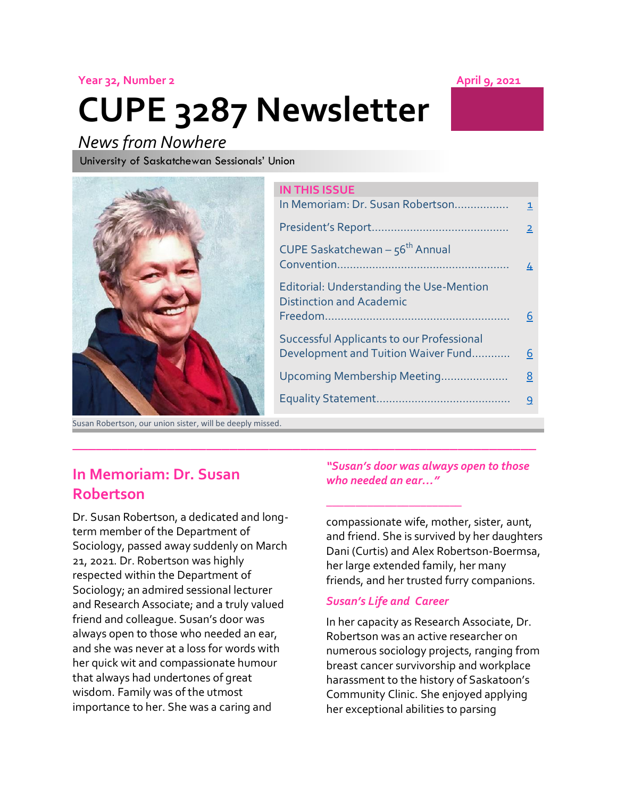#### **Year 32, Number 2 April 9, 2021**

# **CUPE 3287 Newsletter**

### *News from Nowhere*

University of Saskatchewan Sessionals' Union

### **IN THIS ISSUE** In Memoriam: Dr. Susan Robertson…………….. [1](#page-0-0) President's Report……………………………………. [2](#page-1-0) CUPE Saskatchewan –  $56<sup>th</sup>$  Annual Convention……………………………………………… [4](#page-3-0) Editorial: Understanding the Use-Mention Distinction and Academic Freedom…………………………………………………. [6](#page-5-0) Successful Applicants to our Professional Development and Tuition Waiver Fund............... [6](#page-5-1) Upcoming Membership Meeting………………… [8](#page-7-0) Equality Statement…………………………………… [9](#page-8-0)

**\_\_\_\_\_\_\_\_\_\_\_\_\_\_\_\_\_\_\_\_\_\_\_\_\_\_\_\_\_\_\_\_\_\_\_\_\_\_\_\_\_\_\_\_\_\_\_\_\_\_\_\_\_\_\_\_\_\_\_**

Susan Robertson, our union sister, will be deeply missed.

### <span id="page-0-0"></span>**In Memoriam: Dr. Susan Robertson**

Dr. Susan Robertson, a dedicated and longterm member of the Department of Sociology, passed away suddenly on March 21, 2021. Dr. Robertson was highly respected within the Department of Sociology; an admired sessional lecturer and Research Associate; and a truly valued friend and colleague. Susan's door was always open to those who needed an ear, and she was never at a loss for words with her quick wit and compassionate humour that always had undertones of great wisdom. Family was of the utmost importance to her. She was a caring and

#### *"Susan's door was always open to those who needed an ear…"*

compassionate wife, mother, sister, aunt, and friend. She is survived by her daughters Dani (Curtis) and Alex Robertson-Boermsa, her large extended family, her many friends, and her trusted furry companions.

#### *Susan's Life and Career*

*\_\_\_\_\_\_\_\_\_\_\_\_\_\_\_\_\_\_\_\_\_\_\_*

In her capacity as Research Associate, Dr. Robertson was an active researcher on numerous sociology projects, ranging from breast cancer survivorship and workplace harassment to the history of Saskatoon's Community Clinic. She enjoyed applying her exceptional abilities to parsing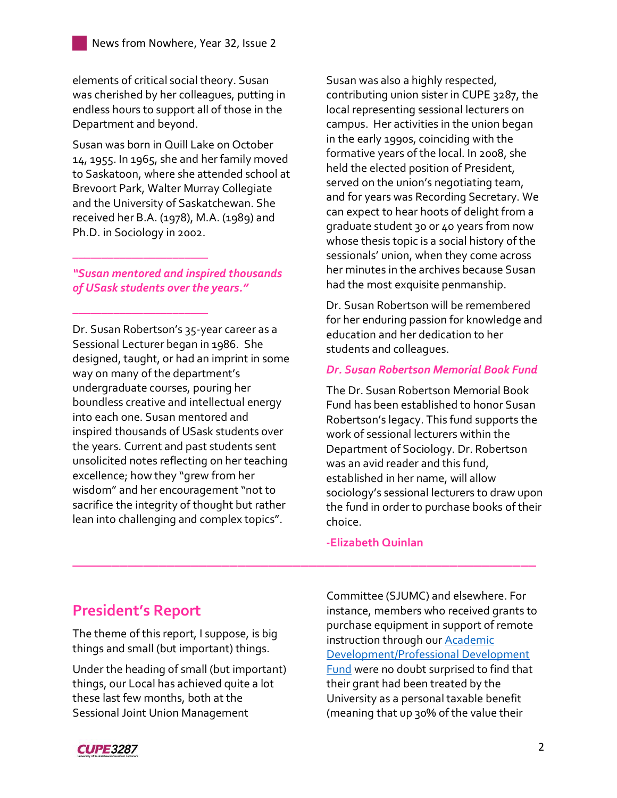elements of critical social theory. Susan was cherished by her colleagues, putting in endless hours to support all of those in the Department and beyond.

Susan was born in Quill Lake on October 14, 1955. In 1965, she and her family moved to Saskatoon, where she attended school at Brevoort Park, Walter Murray Collegiate and the University of Saskatchewan. She received her B.A. (1978), M.A. (1989) and Ph.D. in Sociology in 2002.

*"Susan mentored and inspired thousands of USask students over the years."*

*\_\_\_\_\_\_\_\_\_\_\_\_\_\_\_\_\_\_\_\_\_\_\_*

*\_\_\_\_\_\_\_\_\_\_\_\_\_\_\_\_\_\_\_\_\_\_\_*

Dr. Susan Robertson's 35-year career as a Sessional Lecturer began in 1986. She designed, taught, or had an imprint in some way on many of the department's undergraduate courses, pouring her boundless creative and intellectual energy into each one. Susan mentored and inspired thousands of USask students over the years. Current and past students sent unsolicited notes reflecting on her teaching excellence; how they "grew from her wisdom" and her encouragement "not to sacrifice the integrity of thought but rather lean into challenging and complex topics".

Susan was also a highly respected, contributing union sister in CUPE 3287, the local representing sessional lecturers on campus. Her activities in the union began in the early 1990s, coinciding with the formative years of the local. In 2008, she held the elected position of President, served on the union's negotiating team, and for years was Recording Secretary. We can expect to hear hoots of delight from a graduate student 30 or 40 years from now whose thesis topic is a social history of the sessionals' union, when they come across her minutes in the archives because Susan had the most exquisite penmanship.

Dr. Susan Robertson will be remembered for her enduring passion for knowledge and education and her dedication to her students and colleagues.

#### *Dr. Susan Robertson Memorial Book Fund*

The Dr. Susan Robertson Memorial Book Fund has been established to honor Susan Robertson's legacy. This fund supports the work of sessional lecturers within the Department of Sociology. Dr. Robertson was an avid reader and this fund, established in her name, will allow sociology's sessional lecturers to draw upon the fund in order to purchase books of their choice.

**-Elizabeth Quinlan**

**\_\_\_\_\_\_\_\_\_\_\_\_\_\_\_\_\_\_\_\_\_\_\_\_\_\_\_\_\_\_\_\_\_\_\_\_\_\_\_\_\_\_\_\_\_\_\_\_\_\_\_\_\_\_\_\_\_\_\_**

### <span id="page-1-0"></span>**President's Report**

The theme of this report, I suppose, is big things and small (but important) things.

Under the heading of small (but important) things, our Local has achieved quite a lot these last few months, both at the Sessional Joint Union Management

Committee (SJUMC) and elsewhere. For instance, members who received grants to purchase equipment in support of remote instruction through ou[r Academic](https://3287.cupe.ca/resources/funds-and-benefits/)  [Development/Professional Development](https://3287.cupe.ca/resources/funds-and-benefits/)  [Fund](https://3287.cupe.ca/resources/funds-and-benefits/) were no doubt surprised to find that their grant had been treated by the University as a personal taxable benefit (meaning that up 30% of the value their

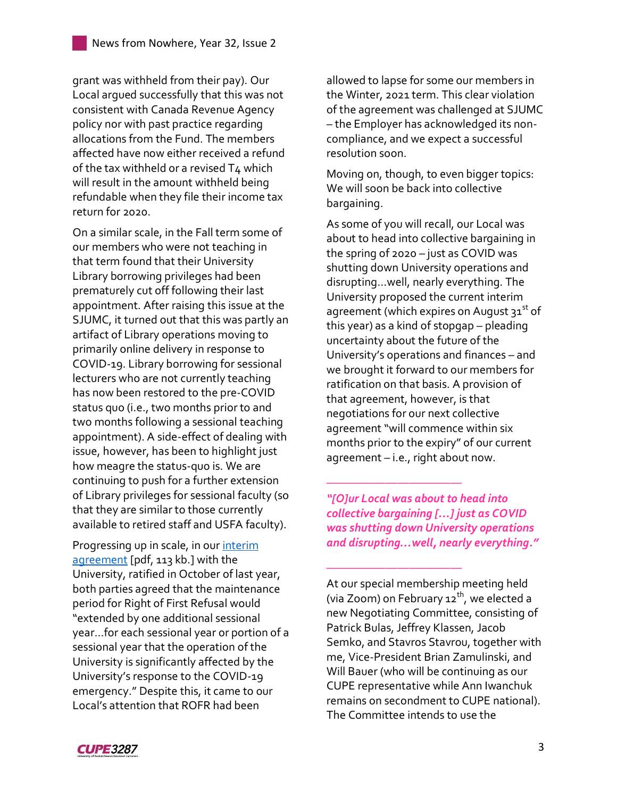grant was withheld from their pay). Our Local argued successfully that this was not consistent with Canada Revenue Agency policy nor with past practice regarding allocations from the Fund. The members affected have now either received a refund of the tax withheld or a revised T4 which will result in the amount withheld being refundable when they file their income tax return for 2020.

On a similar scale, in the Fall term some of our members who were not teaching in that term found that their University Library borrowing privileges had been prematurely cut off following their last appointment. After raising this issue at the SJUMC, it turned out that this was partly an artifact of Library operations moving to primarily online delivery in response to COVID-19. Library borrowing for sessional lecturers who are not currently teaching has now been restored to the pre-COVID status quo (i.e., two months prior to and two months following a sessional teaching appointment). A side-effect of dealing with issue, however, has been to highlight just how meagre the status-quo is. We are continuing to push for a further extension of Library privileges for sessional faculty (so that they are similar to those currently available to retired staff and USFA faculty).

Progressing up in scale, in our interim [agreement](https://3287.cupe.ca/files/2020/09/CUPE-3287_USask-_Tentative-Agreement_Signatures-_August_25_2020.pdf) [pdf, 113 kb.] with the University, ratified in October of last year, both parties agreed that the maintenance period for Right of First Refusal would "extended by one additional sessional year…for each sessional year or portion of a sessional year that the operation of the University is significantly affected by the University's response to the COVID-19 emergency." Despite this, it came to our Local's attention that ROFR had been

allowed to lapse for some our members in the Winter, 2021 term. This clear violation of the agreement was challenged at SJUMC – the Employer has acknowledged its noncompliance, and we expect a successful resolution soon.

Moving on, though, to even bigger topics: We will soon be back into collective bargaining.

As some of you will recall, our Local was about to head into collective bargaining in the spring of 2020 – just as COVID was shutting down University operations and disrupting…well, nearly everything. The University proposed the current interim agreement (which expires on August  $31<sup>st</sup>$  of this year) as a kind of stopgap – pleading uncertainty about the future of the University's operations and finances – and we brought it forward to our members for ratification on that basis. A provision of that agreement, however, is that negotiations for our next collective agreement "will commence within six months prior to the expiry" of our current agreement – i.e., right about now.

*"[O]ur Local was about to head into collective bargaining […] just as COVID was shutting down University operations and disrupting…well, nearly everything."*

*\_\_\_\_\_\_\_\_\_\_\_\_\_\_\_\_\_\_\_\_\_\_\_*

*\_\_\_\_\_\_\_\_\_\_\_\_\_\_\_\_\_\_\_\_\_\_\_*

At our special membership meeting held (via Zoom) on February  $12^{th}$ , we elected a new Negotiating Committee, consisting of Patrick Bulas, Jeffrey Klassen, Jacob Semko, and Stavros Stavrou, together with me, Vice-President Brian Zamulinski, and Will Bauer (who will be continuing as our CUPE representative while Ann Iwanchuk remains on secondment to CUPE national). The Committee intends to use the

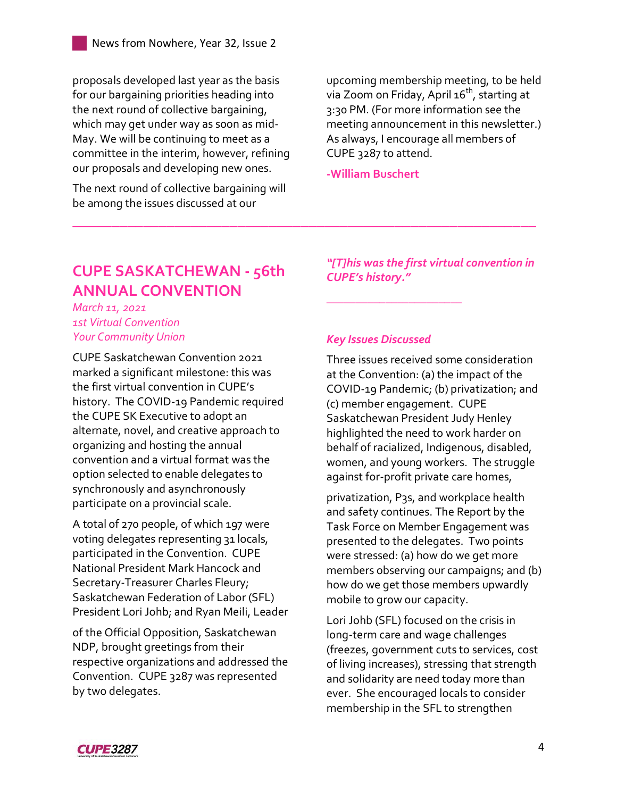proposals developed last year as the basis for our bargaining priorities heading into the next round of collective bargaining, which may get under way as soon as mid-May. We will be continuing to meet as a committee in the interim, however, refining our proposals and developing new ones.

The next round of collective bargaining will be among the issues discussed at our

upcoming membership meeting, to be held via Zoom on Friday, April 16<sup>th</sup>, starting at 3:30 PM. (For more information see the meeting announcement in this newsletter.) As always, I encourage all members of CUPE 3287 to attend.

**-William Buschert**

**\_\_\_\_\_\_\_\_\_\_\_\_\_\_\_\_\_\_\_\_\_\_\_\_\_\_\_\_\_\_\_\_\_\_\_\_\_\_\_\_\_\_\_\_\_\_\_\_\_\_\_\_\_\_\_\_\_\_\_**

### <span id="page-3-0"></span>**CUPE SASKATCHEWAN - 56th ANNUAL CONVENTION**

*March 11, 2021 1st Virtual Convention Your Community Union*

CUPE Saskatchewan Convention 2021 marked a significant milestone: this was the first virtual convention in CUPE's history. The COVID-19 Pandemic required the CUPE SK Executive to adopt an alternate, novel, and creative approach to organizing and hosting the annual convention and a virtual format was the option selected to enable delegates to synchronously and asynchronously participate on a provincial scale.

A total of 270 people, of which 197 were voting delegates representing 31 locals, participated in the Convention. CUPE National President Mark Hancock and Secretary-Treasurer Charles Fleury; Saskatchewan Federation of Labor (SFL) President Lori Johb; and Ryan Meili, Leader

of the Official Opposition, Saskatchewan NDP, brought greetings from their respective organizations and addressed the Convention. CUPE 3287 was represented by two delegates.

*"[T]his was the first virtual convention in CUPE's history."*

#### *Key Issues Discussed*

*\_\_\_\_\_\_\_\_\_\_\_\_\_\_\_\_\_\_\_\_\_\_\_*

Three issues received some consideration at the Convention: (a) the impact of the COVID-19 Pandemic; (b) privatization; and (c) member engagement. CUPE Saskatchewan President Judy Henley highlighted the need to work harder on behalf of racialized, Indigenous, disabled, women, and young workers. The struggle against for-profit private care homes,

privatization, P3s, and workplace health and safety continues. The Report by the Task Force on Member Engagement was presented to the delegates. Two points were stressed: (a) how do we get more members observing our campaigns; and (b) how do we get those members upwardly mobile to grow our capacity.

Lori Johb (SFL) focused on the crisis in long-term care and wage challenges (freezes, government cuts to services, cost of living increases), stressing that strength and solidarity are need today more than ever. She encouraged locals to consider membership in the SFL to strengthen

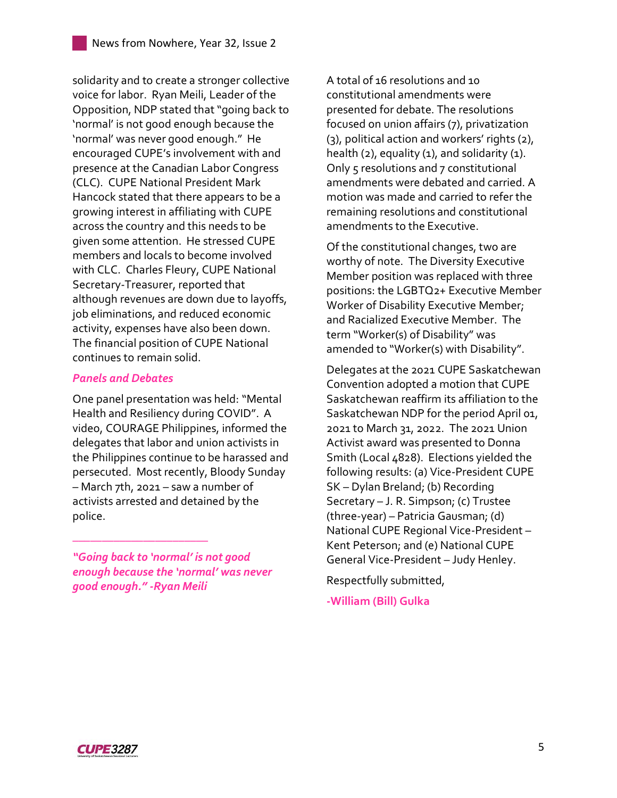solidarity and to create a stronger collective voice for labor. Ryan Meili, Leader of the Opposition, NDP stated that "going back to 'normal' is not good enough because the 'normal' was never good enough." He encouraged CUPE's involvement with and presence at the Canadian Labor Congress (CLC). CUPE National President Mark Hancock stated that there appears to be a growing interest in affiliating with CUPE across the country and this needs to be given some attention. He stressed CUPE members and locals to become involved with CLC. Charles Fleury, CUPE National Secretary-Treasurer, reported that although revenues are down due to layoffs, job eliminations, and reduced economic activity, expenses have also been down. The financial position of CUPE National continues to remain solid.

#### *Panels and Debates*

One panel presentation was held: "Mental Health and Resiliency during COVID". A video, COURAGE Philippines, informed the delegates that labor and union activists in the Philippines continue to be harassed and persecuted. Most recently, Bloody Sunday – March 7th, 2021 – saw a number of activists arrested and detained by the police.

*"Going back to 'normal' is not good enough because the 'normal' was never good enough." -Ryan Meili*

*\_\_\_\_\_\_\_\_\_\_\_\_\_\_\_\_\_\_\_\_\_\_\_*

A total of 16 resolutions and 10 constitutional amendments were presented for debate. The resolutions focused on union affairs (7), privatization (3), political action and workers' rights (2), health  $(2)$ , equality  $(1)$ , and solidarity  $(1)$ . Only 5 resolutions and 7 constitutional amendments were debated and carried. A motion was made and carried to refer the remaining resolutions and constitutional amendments to the Executive.

Of the constitutional changes, two are worthy of note. The Diversity Executive Member position was replaced with three positions: the LGBTQ2+ Executive Member Worker of Disability Executive Member; and Racialized Executive Member. The term "Worker(s) of Disability" was amended to "Worker(s) with Disability".

Delegates at the 2021 CUPE Saskatchewan Convention adopted a motion that CUPE Saskatchewan reaffirm its affiliation to the Saskatchewan NDP for the period April 01, 2021 to March 31, 2022. The 2021 Union Activist award was presented to Donna Smith (Local 4828). Elections yielded the following results: (a) Vice-President CUPE SK – Dylan Breland; (b) Recording Secretary – J. R. Simpson; (c) Trustee (three-year) – Patricia Gausman; (d) National CUPE Regional Vice-President – Kent Peterson; and (e) National CUPE General Vice-President – Judy Henley.

Respectfully submitted,

**-William (Bill) Gulka**

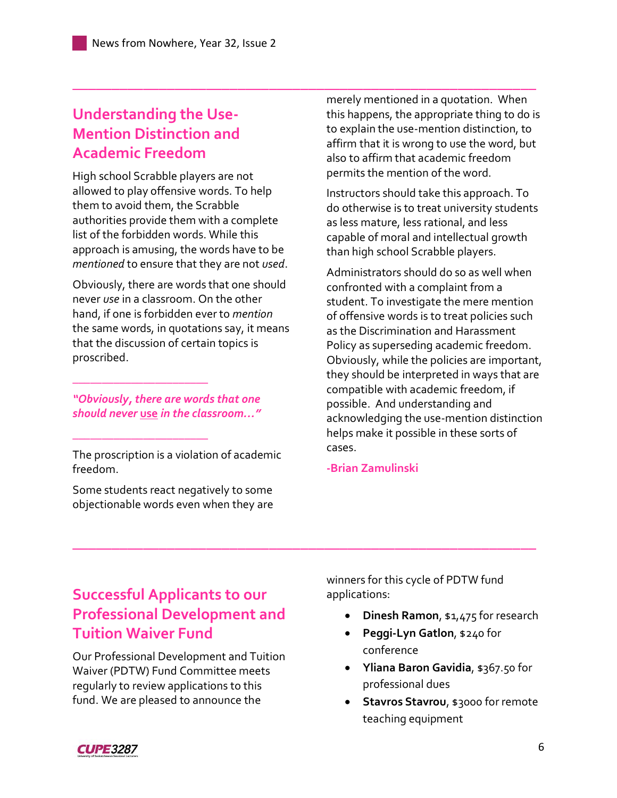### <span id="page-5-0"></span>**Understanding the Use-Mention Distinction and Academic Freedom**

High school Scrabble players are not allowed to play offensive words. To help them to avoid them, the Scrabble authorities provide them with a complete list of the forbidden words. While this approach is amusing, the words have to be *mentioned* to ensure that they are not *used*.

Obviously, there are words that one should never *use* in a classroom. On the other hand, if one is forbidden ever to *mention* the same words, in quotations say, it means that the discussion of certain topics is proscribed.

#### *"Obviously, there are words that one should never* **use** *in the classroom…"*

*\_\_\_\_\_\_\_\_\_\_\_\_\_\_\_\_\_\_\_\_\_\_\_*

*\_\_\_\_\_\_\_\_\_\_\_\_\_\_\_\_\_\_\_\_\_\_\_*

The proscription is a violation of academic freedom.

Some students react negatively to some objectionable words even when they are

**\_\_\_\_\_\_\_\_\_\_\_\_\_\_\_\_\_\_\_\_\_\_\_\_\_\_\_\_\_\_\_\_\_\_\_\_\_\_\_\_\_\_\_\_\_\_\_\_\_\_\_\_\_\_\_\_\_\_\_** merely mentioned in a quotation. When this happens, the appropriate thing to do is to explain the use-mention distinction, to affirm that it is wrong to use the word, but also to affirm that academic freedom permits the mention of the word.

> Instructors should take this approach. To do otherwise is to treat university students as less mature, less rational, and less capable of moral and intellectual growth than high school Scrabble players.

Administrators should do so as well when confronted with a complaint from a student. To investigate the mere mention of offensive words is to treat policies such as the Discrimination and Harassment Policy as superseding academic freedom. Obviously, while the policies are important, they should be interpreted in ways that are compatible with academic freedom, if possible. And understanding and acknowledging the use-mention distinction helps make it possible in these sorts of cases.

#### **-Brian Zamulinski**

**\_\_\_\_\_\_\_\_\_\_\_\_\_\_\_\_\_\_\_\_\_\_\_\_\_\_\_\_\_\_\_\_\_\_\_\_\_\_\_\_\_\_\_\_\_\_\_\_\_\_\_\_\_\_\_\_\_\_\_**

### <span id="page-5-1"></span>**Successful Applicants to our Professional Development and Tuition Waiver Fund**

Our Professional Development and Tuition Waiver (PDTW) Fund Committee meets regularly to review applications to this fund. We are pleased to announce the

winners for this cycle of PDTW fund applications:

- **Dinesh Ramon**, \$1,475 for research
- **Peggi-Lyn Gatlon**, \$240 for conference
- **Yliana Baron Gavidia**, \$367.50 for professional dues
- **Stavros Stavrou**, \$3000 for remote teaching equipment

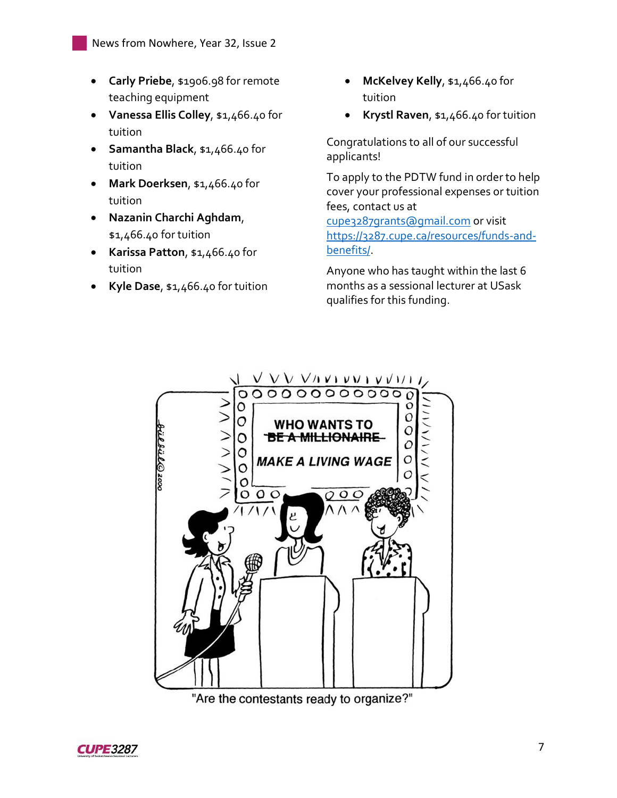- **Carly Priebe**, \$1906.98 for remote teaching equipment
- **Vanessa Ellis Colley**, \$1,466.40 for tuition
- **Samantha Black**, \$1,466.40 for tuition
- **Mark Doerksen**, \$1,466.40 for tuition
- **Nazanin Charchi Aghdam**, \$1,466.40 for tuition
- **Karissa Patton**, \$1,466.40 for tuition
- **Kyle Dase**, \$1,466.40 for tuition
- **McKelvey Kelly**, \$1,466.40 for tuition
- **Krystl Raven**, \$1,466.40 for tuition

Congratulations to all of our successful applicants!

To apply to the PDTW fund in order to help cover your professional expenses or tuition fees, contact us at

[cupe3287grants@gmail.com](mailto:cupe3287grants@gmail.com) or visit [https://3287.cupe.ca/resources/funds-and](https://3287.cupe.ca/resources/funds-and-benefits/)[benefits/.](https://3287.cupe.ca/resources/funds-and-benefits/)

Anyone who has taught within the last 6 months as a sessional lecturer at USask qualifies for this funding.



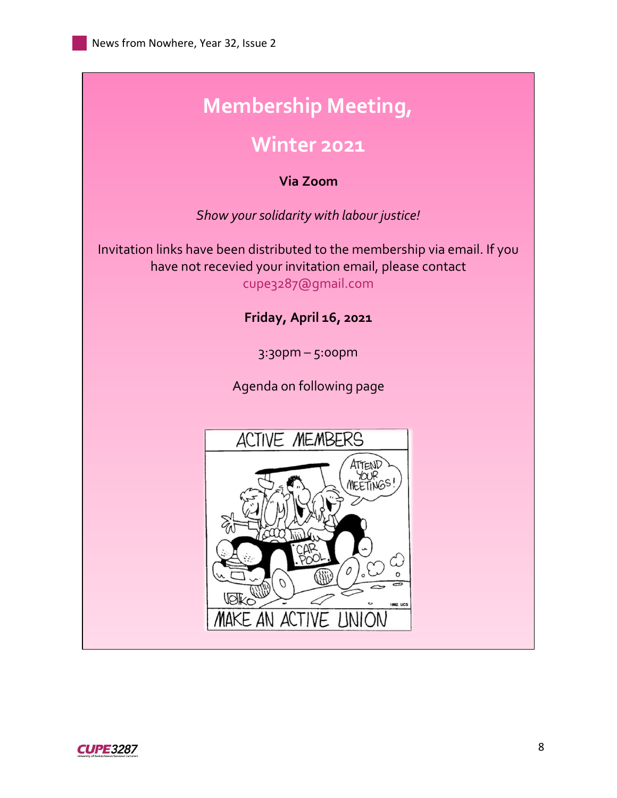## <span id="page-7-0"></span>**Membership Meeting,**

### **Winter 2021**

#### **Via Zoom**

*Show your solidarity with labour justice!*

Invitation links have been distributed to the membership via email. If you have not recevied your invitation email, please contact cupe3287@gmail.com

### **Friday, April 16, 2021**

3:30pm – 5:00pm

Agenda on following page



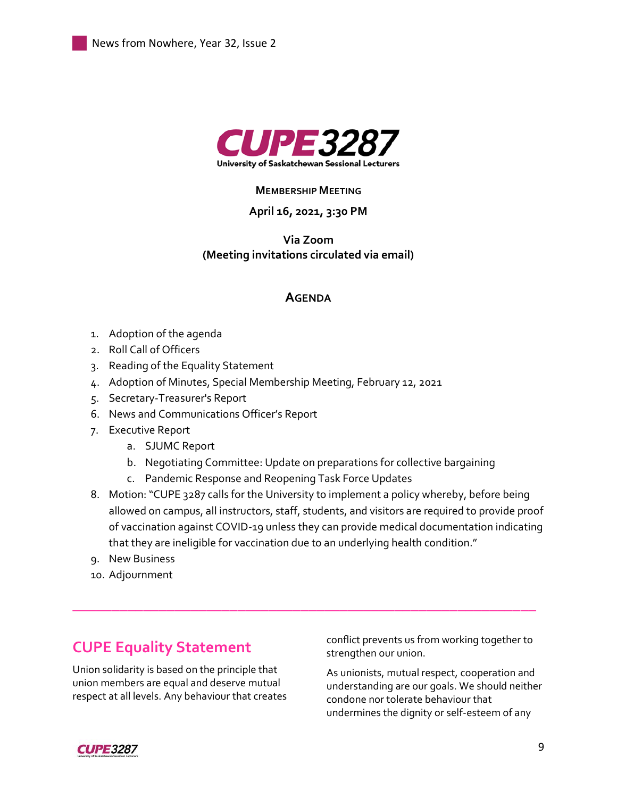

#### **MEMBERSHIP MEETING**

#### **April 16, 2021, 3:30 PM**

#### **Via Zoom (Meeting invitations circulated via email)**

#### **AGENDA**

- 1. Adoption of the agenda
- 2. Roll Call of Officers
- 3. Reading of the Equality Statement
- 4. Adoption of Minutes, Special Membership Meeting, February 12, 2021
- 5. Secretary-Treasurer's Report
- 6. News and Communications Officer's Report
- 7. Executive Report
	- a. SJUMC Report
	- b. Negotiating Committee: Update on preparations for collective bargaining
	- c. Pandemic Response and Reopening Task Force Updates
- 8. Motion: "CUPE 3287 calls for the University to implement a policy whereby, before being allowed on campus, all instructors, staff, students, and visitors are required to provide proof of vaccination against COVID-19 unless they can provide medical documentation indicating that they are ineligible for vaccination due to an underlying health condition."

**\_\_\_\_\_\_\_\_\_\_\_\_\_\_\_\_\_\_\_\_\_\_\_\_\_\_\_\_\_\_\_\_\_\_\_\_\_\_\_\_\_\_\_\_\_\_\_\_\_\_\_\_\_\_\_\_\_\_\_**

- 9. New Business
- 10. Adjournment

### <span id="page-8-0"></span>**CUPE Equality Statement**

Union solidarity is based on the principle that union members are equal and deserve mutual respect at all levels. Any behaviour that creates conflict prevents us from working together to strengthen our union.

As unionists, mutual respect, cooperation and understanding are our goals. We should neither condone nor tolerate behaviour that undermines the dignity or self-esteem of any